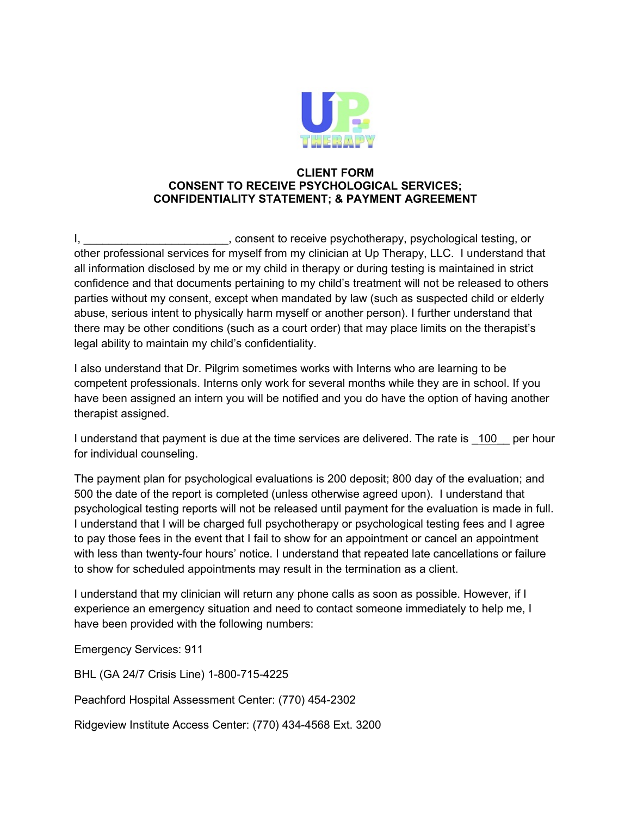

## **CLIENT FORM CONSENT TO RECEIVE PSYCHOLOGICAL SERVICES; CONFIDENTIALITY STATEMENT; & PAYMENT AGREEMENT**

I, the system of the consent to receive psychotherapy, psychological testing, or other professional services for myself from my clinician at Up Therapy, LLC. I understand that all information disclosed by me or my child in therapy or during testing is maintained in strict confidence and that documents pertaining to my child's treatment will not be released to others parties without my consent, except when mandated by law (such as suspected child or elderly abuse, serious intent to physically harm myself or another person). I further understand that there may be other conditions (such as a court order) that may place limits on the therapist's legal ability to maintain my child's confidentiality.

I also understand that Dr. Pilgrim sometimes works with Interns who are learning to be competent professionals. Interns only work for several months while they are in school. If you have been assigned an intern you will be notified and you do have the option of having another therapist assigned.

I understand that payment is due at the time services are delivered. The rate is  $100$  per hour for individual counseling.

The payment plan for psychological evaluations is 200 deposit; 800 day of the evaluation; and 500 the date of the report is completed (unless otherwise agreed upon). I understand that psychological testing reports will not be released until payment for the evaluation is made in full. I understand that I will be charged full psychotherapy or psychological testing fees and I agree to pay those fees in the event that I fail to show for an appointment or cancel an appointment with less than twenty-four hours' notice. I understand that repeated late cancellations or failure to show for scheduled appointments may result in the termination as a client.

I understand that my clinician will return any phone calls as soon as possible. However, if I experience an emergency situation and need to contact someone immediately to help me, I have been provided with the following numbers:

Emergency Services: 911

BHL (GA 24/7 Crisis Line) 1-800-715-4225

Peachford Hospital Assessment Center: (770) 454-2302

Ridgeview Institute Access Center: (770) 434-4568 Ext. 3200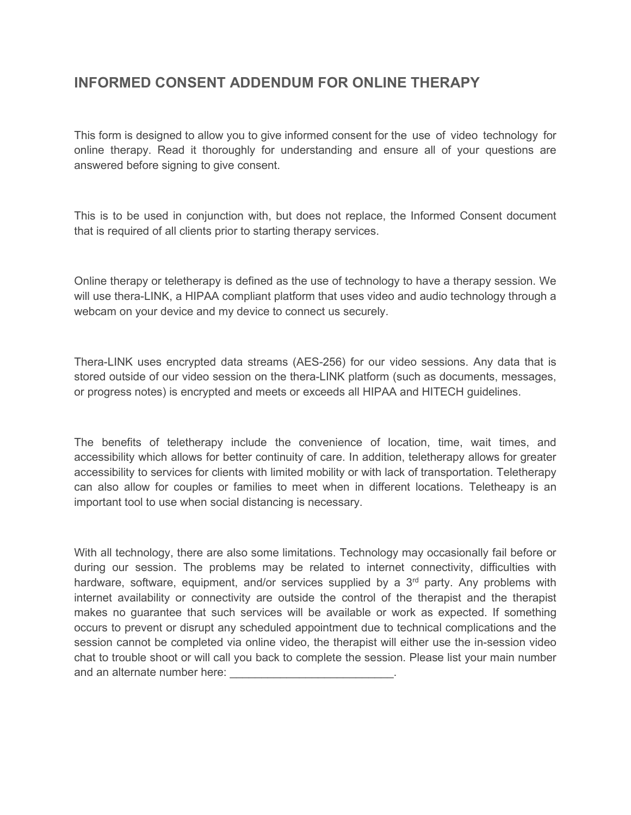## **INFORMED CONSENT ADDENDUM FOR ONLINE THERAPY**

This form is designed to allow you to give informed consent for the use of video technology for online therapy. Read it thoroughly for understanding and ensure all of your questions are answered before signing to give consent.

This is to be used in conjunction with, but does not replace, the Informed Consent document that is required of all clients prior to starting therapy services.

Online therapy or teletherapy is defined as the use of technology to have a therapy session. We will use thera-LINK, a HIPAA compliant platform that uses video and audio technology through a webcam on your device and my device to connect us securely.

Thera-LINK uses encrypted data streams (AES-256) for our video sessions. Any data that is stored outside of our video session on the thera-LINK platform (such as documents, messages, or progress notes) is encrypted and meets or exceeds all HIPAA and HITECH guidelines.

The benefits of teletherapy include the convenience of location, time, wait times, and accessibility which allows for better continuity of care. In addition, teletherapy allows for greater accessibility to services for clients with limited mobility or with lack of transportation. Teletherapy can also allow for couples or families to meet when in different locations. Teletheapy is an important tool to use when social distancing is necessary.

With all technology, there are also some limitations. Technology may occasionally fail before or during our session. The problems may be related to internet connectivity, difficulties with hardware, software, equipment, and/or services supplied by a  $3<sup>rd</sup>$  party. Any problems with internet availability or connectivity are outside the control of the therapist and the therapist makes no guarantee that such services will be available or work as expected. If something occurs to prevent or disrupt any scheduled appointment due to technical complications and the session cannot be completed via online video, the therapist will either use the in-session video chat to trouble shoot or will call you back to complete the session. Please list your main number and an alternate number here: